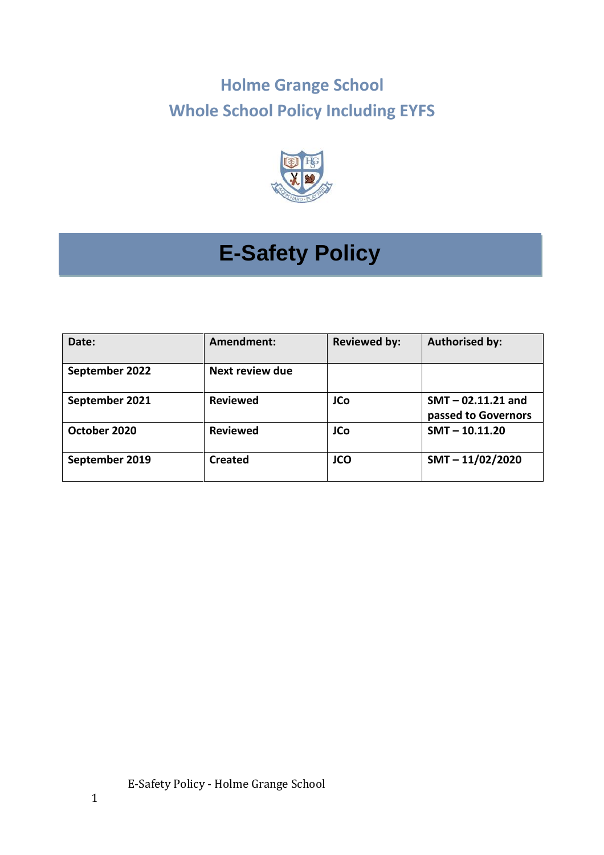## **Holme Grange School Whole School Policy Including EYFS**



# **E-Safety Policy**

| Date:          | Amendment:      | <b>Reviewed by:</b> | <b>Authorised by:</b>                       |
|----------------|-----------------|---------------------|---------------------------------------------|
| September 2022 | Next review due |                     |                                             |
| September 2021 | <b>Reviewed</b> | <b>JCo</b>          | $SMT - 02.11.21$ and<br>passed to Governors |
| October 2020   | <b>Reviewed</b> | <b>JCo</b>          | $SMT - 10.11.20$                            |
| September 2019 | <b>Created</b>  | <b>JCO</b>          | $SMT - 11/02/2020$                          |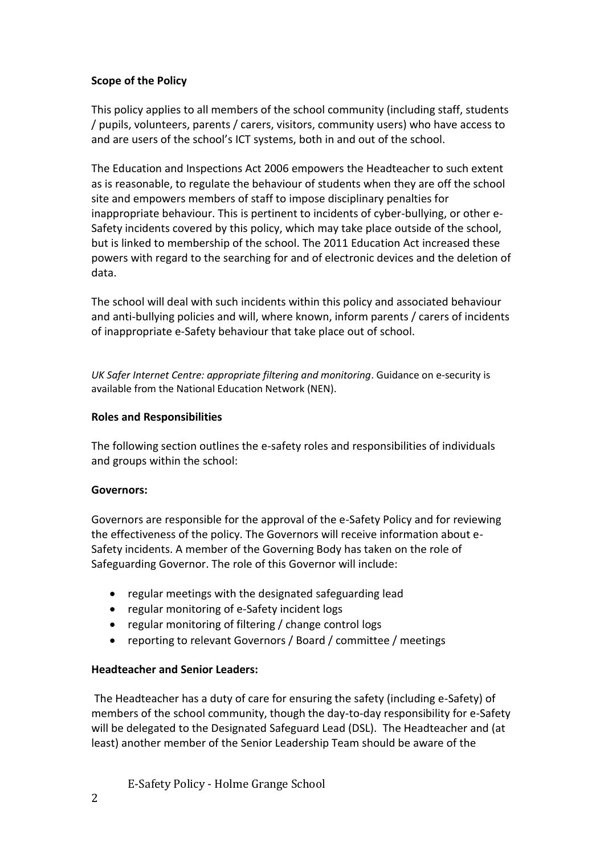## **Scope of the Policy**

This policy applies to all members of the school community (including staff, students / pupils, volunteers, parents / carers, visitors, community users) who have access to and are users of the school's ICT systems, both in and out of the school.

The Education and Inspections Act 2006 empowers the Headteacher to such extent as is reasonable, to regulate the behaviour of students when they are off the school site and empowers members of staff to impose disciplinary penalties for inappropriate behaviour. This is pertinent to incidents of cyber-bullying, or other e-Safety incidents covered by this policy, which may take place outside of the school, but is linked to membership of the school. The 2011 Education Act increased these powers with regard to the searching for and of electronic devices and the deletion of data.

The school will deal with such incidents within this policy and associated behaviour and anti-bullying policies and will, where known, inform parents / carers of incidents of inappropriate e-Safety behaviour that take place out of school.

*UK Safer Internet Centre: appropriate filtering and monitoring*. Guidance on e-security is available from the National Education Network (NEN).

## **Roles and Responsibilities**

The following section outlines the e-safety roles and responsibilities of individuals and groups within the school:

## **Governors:**

Governors are responsible for the approval of the e-Safety Policy and for reviewing the effectiveness of the policy. The Governors will receive information about e-Safety incidents. A member of the Governing Body has taken on the role of Safeguarding Governor. The role of this Governor will include:

- regular meetings with the designated safeguarding lead
- regular monitoring of e-Safety incident logs
- regular monitoring of filtering / change control logs
- reporting to relevant Governors / Board / committee / meetings

## **Headteacher and Senior Leaders:**

The Headteacher has a duty of care for ensuring the safety (including e-Safety) of members of the school community, though the day-to-day responsibility for e-Safety will be delegated to the Designated Safeguard Lead (DSL). The Headteacher and (at least) another member of the Senior Leadership Team should be aware of the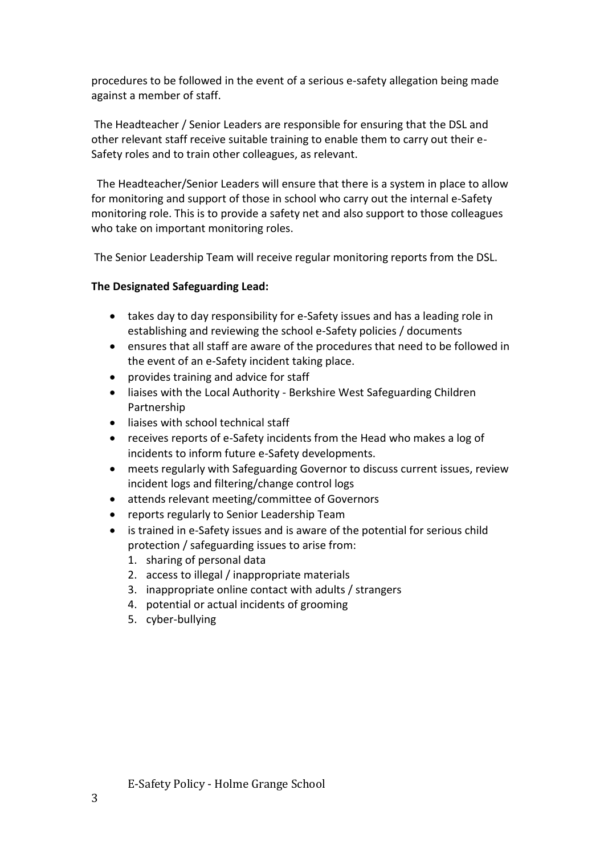procedures to be followed in the event of a serious e-safety allegation being made against a member of staff.

The Headteacher / Senior Leaders are responsible for ensuring that the DSL and other relevant staff receive suitable training to enable them to carry out their e-Safety roles and to train other colleagues, as relevant.

The Headteacher/Senior Leaders will ensure that there is a system in place to allow for monitoring and support of those in school who carry out the internal e-Safety monitoring role. This is to provide a safety net and also support to those colleagues who take on important monitoring roles.

The Senior Leadership Team will receive regular monitoring reports from the DSL.

### **The Designated Safeguarding Lead:**

- takes day to day responsibility for e-Safety issues and has a leading role in establishing and reviewing the school e-Safety policies / documents
- ensures that all staff are aware of the procedures that need to be followed in the event of an e-Safety incident taking place.
- provides training and advice for staff
- liaises with the Local Authority Berkshire West Safeguarding Children Partnership
- liaises with school technical staff
- receives reports of e-Safety incidents from the Head who makes a log of incidents to inform future e-Safety developments.
- meets regularly with Safeguarding Governor to discuss current issues, review incident logs and filtering/change control logs
- attends relevant meeting/committee of Governors
- reports regularly to Senior Leadership Team
- is trained in e-Safety issues and is aware of the potential for serious child protection / safeguarding issues to arise from:
	- 1. sharing of personal data
	- 2. access to illegal / inappropriate materials
	- 3. inappropriate online contact with adults / strangers
	- 4. potential or actual incidents of grooming
	- 5. cyber-bullying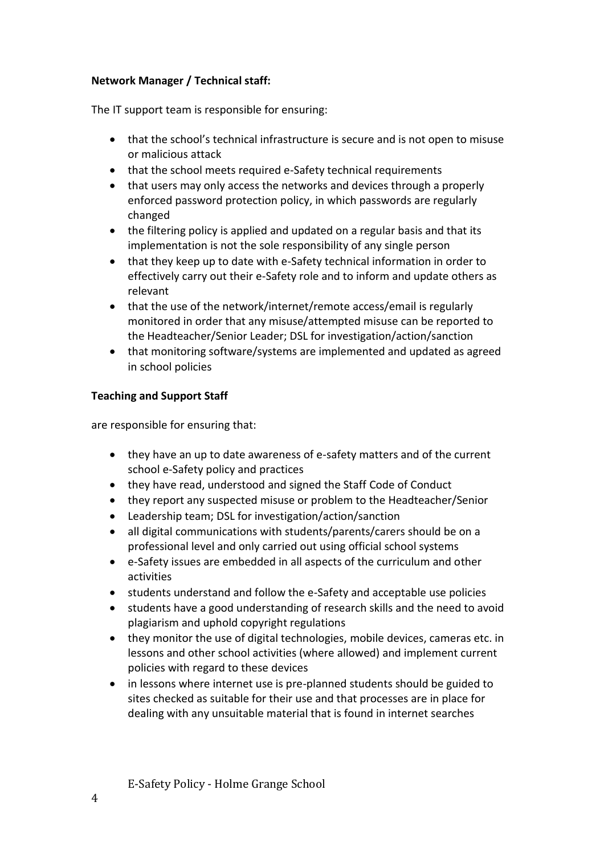## **Network Manager / Technical staff:**

The IT support team is responsible for ensuring:

- that the school's technical infrastructure is secure and is not open to misuse or malicious attack
- that the school meets required e-Safety technical requirements
- that users may only access the networks and devices through a properly enforced password protection policy, in which passwords are regularly changed
- the filtering policy is applied and updated on a regular basis and that its implementation is not the sole responsibility of any single person
- that they keep up to date with e-Safety technical information in order to effectively carry out their e-Safety role and to inform and update others as relevant
- that the use of the network/internet/remote access/email is regularly monitored in order that any misuse/attempted misuse can be reported to the Headteacher/Senior Leader; DSL for investigation/action/sanction
- that monitoring software/systems are implemented and updated as agreed in school policies

## **Teaching and Support Staff**

are responsible for ensuring that:

- they have an up to date awareness of e-safety matters and of the current school e-Safety policy and practices
- they have read, understood and signed the Staff Code of Conduct
- they report any suspected misuse or problem to the Headteacher/Senior
- Leadership team; DSL for investigation/action/sanction
- all digital communications with students/parents/carers should be on a professional level and only carried out using official school systems
- e-Safety issues are embedded in all aspects of the curriculum and other activities
- students understand and follow the e-Safety and acceptable use policies
- students have a good understanding of research skills and the need to avoid plagiarism and uphold copyright regulations
- they monitor the use of digital technologies, mobile devices, cameras etc. in lessons and other school activities (where allowed) and implement current policies with regard to these devices
- in lessons where internet use is pre-planned students should be guided to sites checked as suitable for their use and that processes are in place for dealing with any unsuitable material that is found in internet searches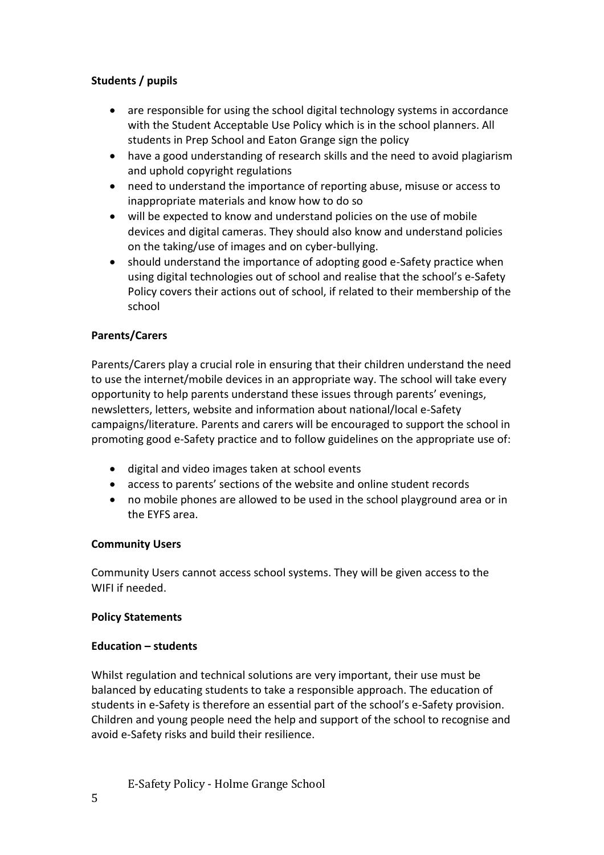## **Students / pupils**

- are responsible for using the school digital technology systems in accordance with the Student Acceptable Use Policy which is in the school planners. All students in Prep School and Eaton Grange sign the policy
- have a good understanding of research skills and the need to avoid plagiarism and uphold copyright regulations
- need to understand the importance of reporting abuse, misuse or access to inappropriate materials and know how to do so
- will be expected to know and understand policies on the use of mobile devices and digital cameras. They should also know and understand policies on the taking/use of images and on cyber-bullying.
- should understand the importance of adopting good e-Safety practice when using digital technologies out of school and realise that the school's e-Safety Policy covers their actions out of school, if related to their membership of the school

## **Parents/Carers**

Parents/Carers play a crucial role in ensuring that their children understand the need to use the internet/mobile devices in an appropriate way. The school will take every opportunity to help parents understand these issues through parents' evenings, newsletters, letters, website and information about national/local e-Safety campaigns/literature. Parents and carers will be encouraged to support the school in promoting good e-Safety practice and to follow guidelines on the appropriate use of:

- digital and video images taken at school events
- access to parents' sections of the website and online student records
- no mobile phones are allowed to be used in the school playground area or in the EYFS area.

## **Community Users**

Community Users cannot access school systems. They will be given access to the WIFI if needed.

## **Policy Statements**

## **Education – students**

Whilst regulation and technical solutions are very important, their use must be balanced by educating students to take a responsible approach. The education of students in e-Safety is therefore an essential part of the school's e-Safety provision. Children and young people need the help and support of the school to recognise and avoid e-Safety risks and build their resilience.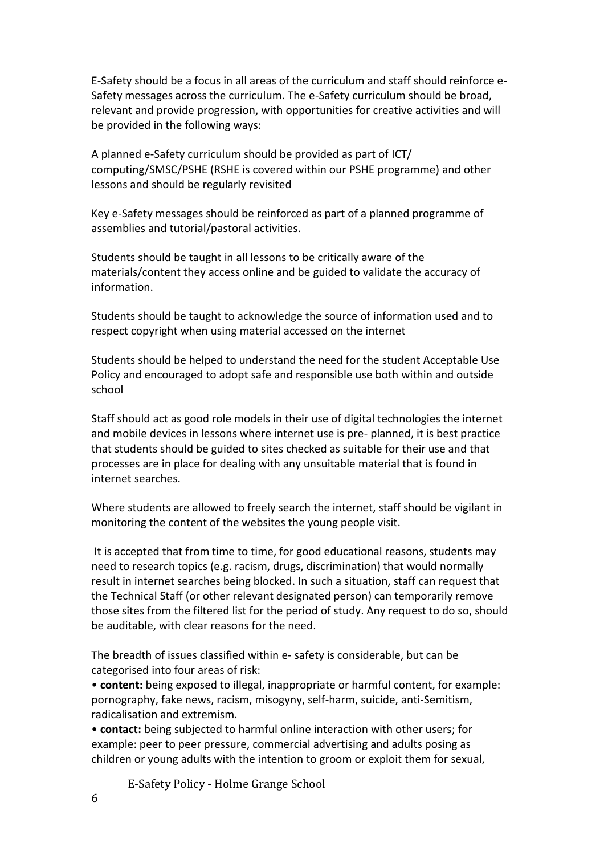E-Safety should be a focus in all areas of the curriculum and staff should reinforce e-Safety messages across the curriculum. The e-Safety curriculum should be broad, relevant and provide progression, with opportunities for creative activities and will be provided in the following ways:

A planned e-Safety curriculum should be provided as part of ICT/ computing/SMSC/PSHE (RSHE is covered within our PSHE programme) and other lessons and should be regularly revisited

Key e-Safety messages should be reinforced as part of a planned programme of assemblies and tutorial/pastoral activities.

Students should be taught in all lessons to be critically aware of the materials/content they access online and be guided to validate the accuracy of information.

Students should be taught to acknowledge the source of information used and to respect copyright when using material accessed on the internet

Students should be helped to understand the need for the student Acceptable Use Policy and encouraged to adopt safe and responsible use both within and outside school

Staff should act as good role models in their use of digital technologies the internet and mobile devices in lessons where internet use is pre- planned, it is best practice that students should be guided to sites checked as suitable for their use and that processes are in place for dealing with any unsuitable material that is found in internet searches.

Where students are allowed to freely search the internet, staff should be vigilant in monitoring the content of the websites the young people visit.

It is accepted that from time to time, for good educational reasons, students may need to research topics (e.g. racism, drugs, discrimination) that would normally result in internet searches being blocked. In such a situation, staff can request that the Technical Staff (or other relevant designated person) can temporarily remove those sites from the filtered list for the period of study. Any request to do so, should be auditable, with clear reasons for the need.

The breadth of issues classified within e- safety is considerable, but can be categorised into four areas of risk:

• **content:** being exposed to illegal, inappropriate or harmful content, for example: pornography, fake news, racism, misogyny, self-harm, suicide, anti-Semitism, radicalisation and extremism.

• **contact:** being subjected to harmful online interaction with other users; for example: peer to peer pressure, commercial advertising and adults posing as children or young adults with the intention to groom or exploit them for sexual,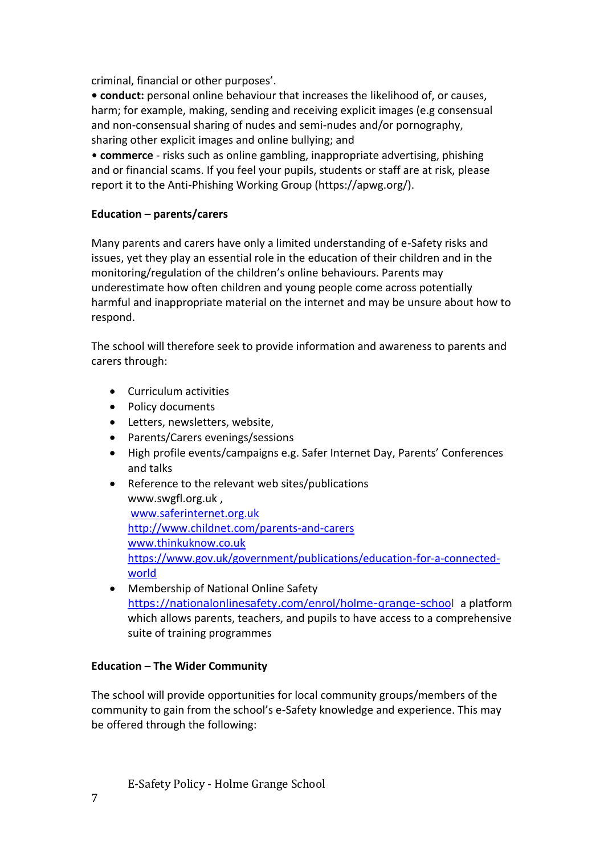criminal, financial or other purposes'.

**• conduct:** personal online behaviour that increases the likelihood of, or causes, harm; for example, making, sending and receiving explicit images (e.g consensual and non-consensual sharing of nudes and semi-nudes and/or pornography, sharing other explicit images and online bullying; and

• **commerce** - risks such as online gambling, inappropriate advertising, phishing and or financial scams. If you feel your pupils, students or staff are at risk, please report it to the Anti-Phishing Working Group (https://apwg.org/).

## **Education – parents/carers**

Many parents and carers have only a limited understanding of e-Safety risks and issues, yet they play an essential role in the education of their children and in the monitoring/regulation of the children's online behaviours. Parents may underestimate how often children and young people come across potentially harmful and inappropriate material on the internet and may be unsure about how to respond.

The school will therefore seek to provide information and awareness to parents and carers through:

- Curriculum activities
- Policy documents
- Letters, newsletters, website,
- Parents/Carers evenings/sessions
- High profile events/campaigns e.g. Safer Internet Day, Parents' Conferences and talks
- Reference to the relevant web sites/publications www.swgfl.org.uk , [www.saferinternet.org.uk](http://www.saferinternet.org.uk/) <http://www.childnet.com/parents-and-carers> [www.thinkuknow.co.uk](http://www.thinkuknow.co.uk/) [https://www.gov.uk/government/publications/education-for-a-connected](https://www.gov.uk/government/publications/education-for-a-connected-world)[world](https://www.gov.uk/government/publications/education-for-a-connected-world)
- Membership of National Online Safety [https://nationalonlinesafety.com/enrol/holme-grange-school](https://nationalonlinesafety.com/enrol/holme-grange-schoo) a platform which allows parents, teachers, and pupils to have access to a comprehensive suite of training programmes

## **Education – The Wider Community**

The school will provide opportunities for local community groups/members of the community to gain from the school's e-Safety knowledge and experience. This may be offered through the following: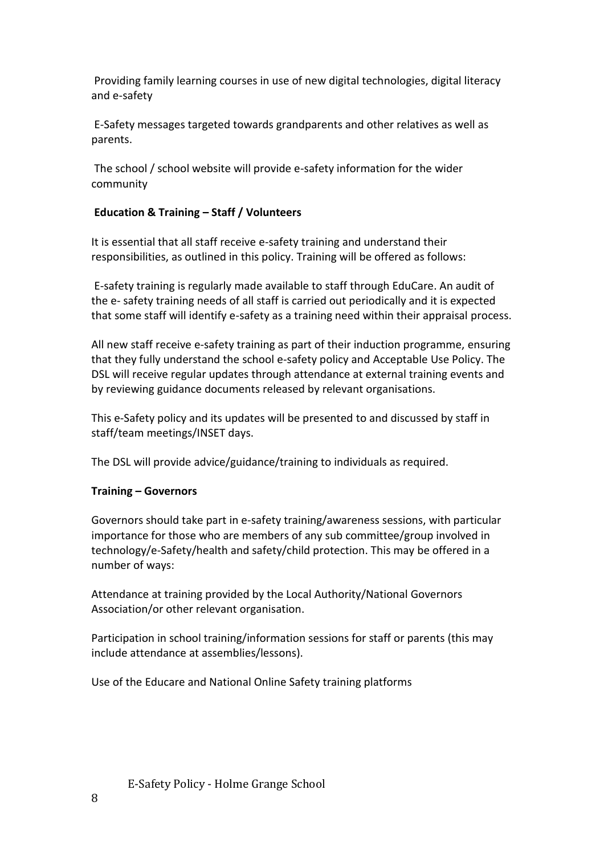Providing family learning courses in use of new digital technologies, digital literacy and e-safety

E-Safety messages targeted towards grandparents and other relatives as well as parents.

The school / school website will provide e-safety information for the wider community

## **Education & Training – Staff / Volunteers**

It is essential that all staff receive e-safety training and understand their responsibilities, as outlined in this policy. Training will be offered as follows:

E-safety training is regularly made available to staff through EduCare. An audit of the e- safety training needs of all staff is carried out periodically and it is expected that some staff will identify e-safety as a training need within their appraisal process.

All new staff receive e-safety training as part of their induction programme, ensuring that they fully understand the school e-safety policy and Acceptable Use Policy. The DSL will receive regular updates through attendance at external training events and by reviewing guidance documents released by relevant organisations.

This e-Safety policy and its updates will be presented to and discussed by staff in staff/team meetings/INSET days.

The DSL will provide advice/guidance/training to individuals as required.

## **Training – Governors**

Governors should take part in e-safety training/awareness sessions, with particular importance for those who are members of any sub committee/group involved in technology/e-Safety/health and safety/child protection. This may be offered in a number of ways:

Attendance at training provided by the Local Authority/National Governors Association/or other relevant organisation.

Participation in school training/information sessions for staff or parents (this may include attendance at assemblies/lessons).

Use of the Educare and National Online Safety training platforms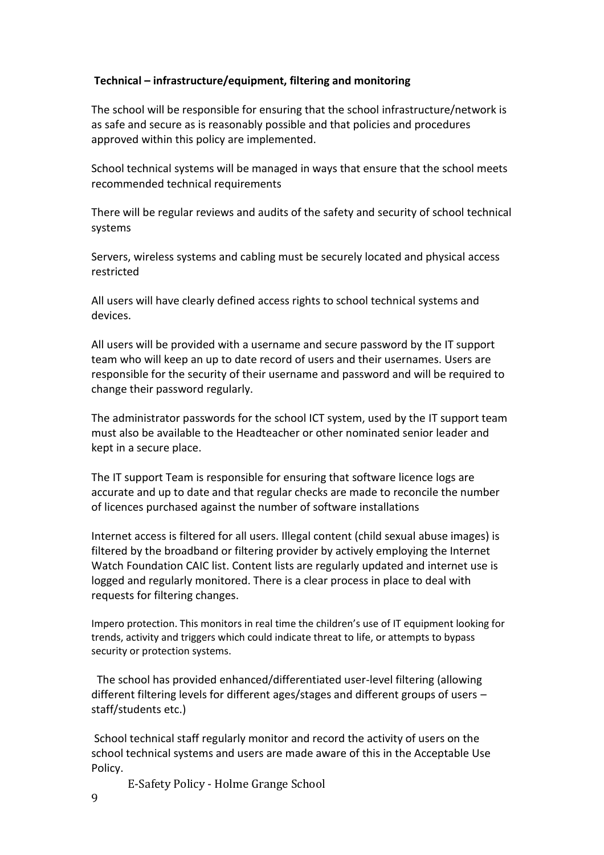## **Technical – infrastructure/equipment, filtering and monitoring**

The school will be responsible for ensuring that the school infrastructure/network is as safe and secure as is reasonably possible and that policies and procedures approved within this policy are implemented.

School technical systems will be managed in ways that ensure that the school meets recommended technical requirements

There will be regular reviews and audits of the safety and security of school technical systems

Servers, wireless systems and cabling must be securely located and physical access restricted

All users will have clearly defined access rights to school technical systems and devices.

All users will be provided with a username and secure password by the IT support team who will keep an up to date record of users and their usernames. Users are responsible for the security of their username and password and will be required to change their password regularly.

The administrator passwords for the school ICT system, used by the IT support team must also be available to the Headteacher or other nominated senior leader and kept in a secure place.

The IT support Team is responsible for ensuring that software licence logs are accurate and up to date and that regular checks are made to reconcile the number of licences purchased against the number of software installations

Internet access is filtered for all users. Illegal content (child sexual abuse images) is filtered by the broadband or filtering provider by actively employing the Internet Watch Foundation CAIC list. Content lists are regularly updated and internet use is logged and regularly monitored. There is a clear process in place to deal with requests for filtering changes.

Impero protection. This monitors in real time the children's use of IT equipment looking for trends, activity and triggers which could indicate threat to life, or attempts to bypass security or protection systems.

The school has provided enhanced/differentiated user-level filtering (allowing different filtering levels for different ages/stages and different groups of users – staff/students etc.)

School technical staff regularly monitor and record the activity of users on the school technical systems and users are made aware of this in the Acceptable Use Policy.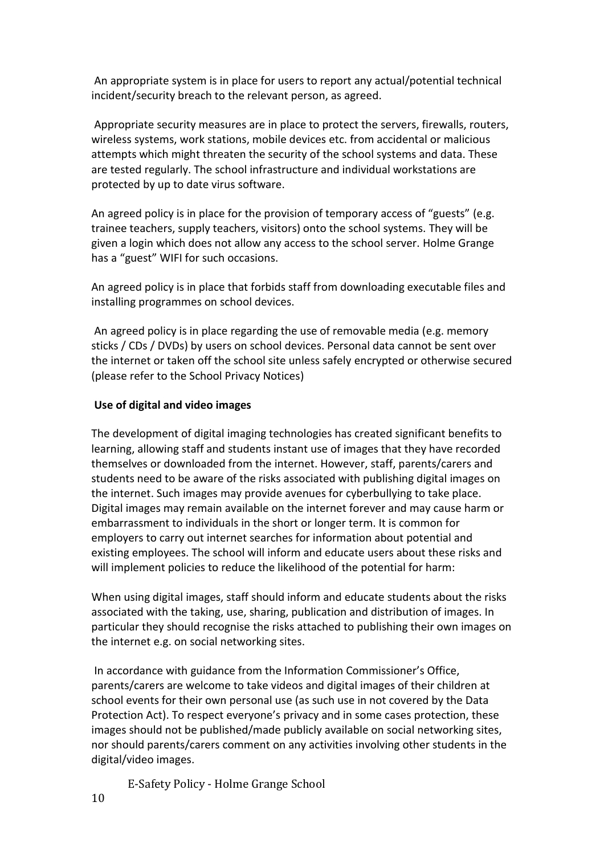An appropriate system is in place for users to report any actual/potential technical incident/security breach to the relevant person, as agreed.

Appropriate security measures are in place to protect the servers, firewalls, routers, wireless systems, work stations, mobile devices etc. from accidental or malicious attempts which might threaten the security of the school systems and data. These are tested regularly. The school infrastructure and individual workstations are protected by up to date virus software.

An agreed policy is in place for the provision of temporary access of "guests" (e.g. trainee teachers, supply teachers, visitors) onto the school systems. They will be given a login which does not allow any access to the school server. Holme Grange has a "guest" WIFI for such occasions.

An agreed policy is in place that forbids staff from downloading executable files and installing programmes on school devices.

An agreed policy is in place regarding the use of removable media (e.g. memory sticks / CDs / DVDs) by users on school devices. Personal data cannot be sent over the internet or taken off the school site unless safely encrypted or otherwise secured (please refer to the School Privacy Notices)

### **Use of digital and video images**

The development of digital imaging technologies has created significant benefits to learning, allowing staff and students instant use of images that they have recorded themselves or downloaded from the internet. However, staff, parents/carers and students need to be aware of the risks associated with publishing digital images on the internet. Such images may provide avenues for cyberbullying to take place. Digital images may remain available on the internet forever and may cause harm or embarrassment to individuals in the short or longer term. It is common for employers to carry out internet searches for information about potential and existing employees. The school will inform and educate users about these risks and will implement policies to reduce the likelihood of the potential for harm:

When using digital images, staff should inform and educate students about the risks associated with the taking, use, sharing, publication and distribution of images. In particular they should recognise the risks attached to publishing their own images on the internet e.g. on social networking sites.

In accordance with guidance from the Information Commissioner's Office, parents/carers are welcome to take videos and digital images of their children at school events for their own personal use (as such use in not covered by the Data Protection Act). To respect everyone's privacy and in some cases protection, these images should not be published/made publicly available on social networking sites, nor should parents/carers comment on any activities involving other students in the digital/video images.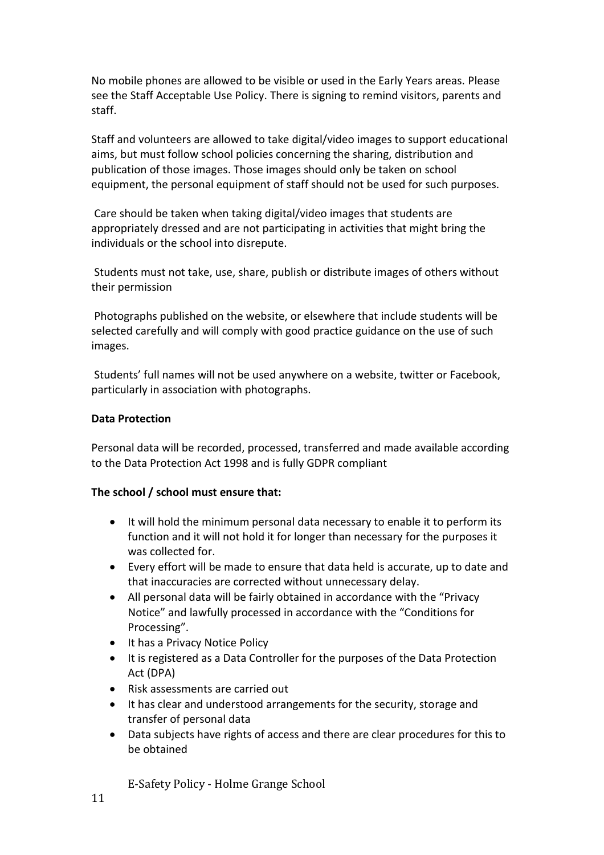No mobile phones are allowed to be visible or used in the Early Years areas. Please see the Staff Acceptable Use Policy. There is signing to remind visitors, parents and staff.

Staff and volunteers are allowed to take digital/video images to support educational aims, but must follow school policies concerning the sharing, distribution and publication of those images. Those images should only be taken on school equipment, the personal equipment of staff should not be used for such purposes.

Care should be taken when taking digital/video images that students are appropriately dressed and are not participating in activities that might bring the individuals or the school into disrepute.

Students must not take, use, share, publish or distribute images of others without their permission

Photographs published on the website, or elsewhere that include students will be selected carefully and will comply with good practice guidance on the use of such images.

Students' full names will not be used anywhere on a website, twitter or Facebook, particularly in association with photographs.

#### **Data Protection**

Personal data will be recorded, processed, transferred and made available according to the Data Protection Act 1998 and is fully GDPR compliant

#### **The school / school must ensure that:**

- It will hold the minimum personal data necessary to enable it to perform its function and it will not hold it for longer than necessary for the purposes it was collected for.
- Every effort will be made to ensure that data held is accurate, up to date and that inaccuracies are corrected without unnecessary delay.
- All personal data will be fairly obtained in accordance with the "Privacy Notice" and lawfully processed in accordance with the "Conditions for Processing".
- It has a Privacy Notice Policy
- It is registered as a Data Controller for the purposes of the Data Protection Act (DPA)
- Risk assessments are carried out
- It has clear and understood arrangements for the security, storage and transfer of personal data
- Data subjects have rights of access and there are clear procedures for this to be obtained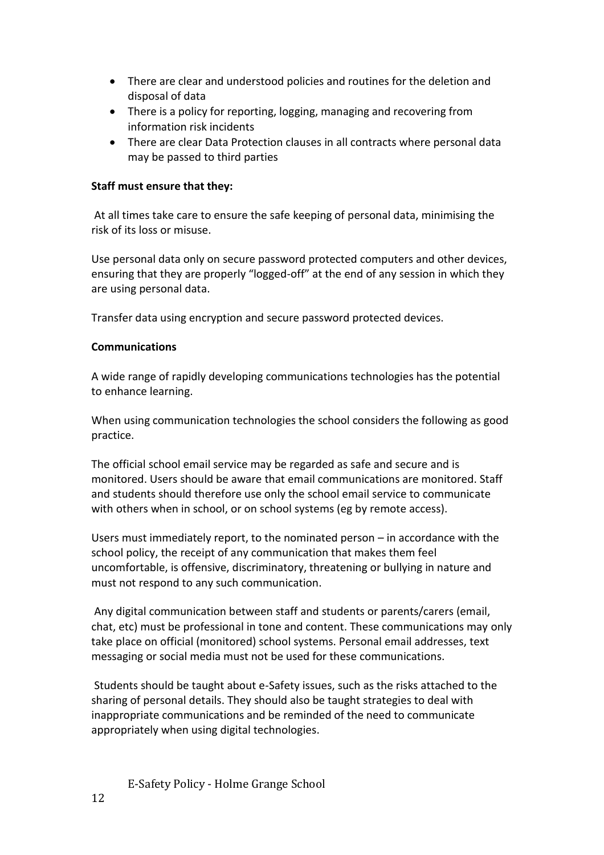- There are clear and understood policies and routines for the deletion and disposal of data
- There is a policy for reporting, logging, managing and recovering from information risk incidents
- There are clear Data Protection clauses in all contracts where personal data may be passed to third parties

### **Staff must ensure that they:**

At all times take care to ensure the safe keeping of personal data, minimising the risk of its loss or misuse.

Use personal data only on secure password protected computers and other devices, ensuring that they are properly "logged-off" at the end of any session in which they are using personal data.

Transfer data using encryption and secure password protected devices.

#### **Communications**

A wide range of rapidly developing communications technologies has the potential to enhance learning.

When using communication technologies the school considers the following as good practice.

The official school email service may be regarded as safe and secure and is monitored. Users should be aware that email communications are monitored. Staff and students should therefore use only the school email service to communicate with others when in school, or on school systems (eg by remote access).

Users must immediately report, to the nominated person – in accordance with the school policy, the receipt of any communication that makes them feel uncomfortable, is offensive, discriminatory, threatening or bullying in nature and must not respond to any such communication.

Any digital communication between staff and students or parents/carers (email, chat, etc) must be professional in tone and content. These communications may only take place on official (monitored) school systems. Personal email addresses, text messaging or social media must not be used for these communications.

Students should be taught about e-Safety issues, such as the risks attached to the sharing of personal details. They should also be taught strategies to deal with inappropriate communications and be reminded of the need to communicate appropriately when using digital technologies.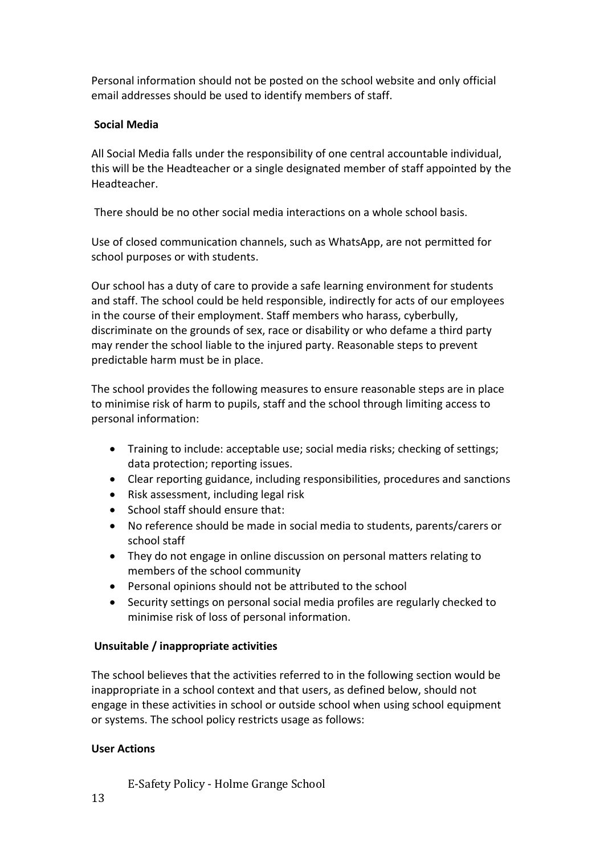Personal information should not be posted on the school website and only official email addresses should be used to identify members of staff.

## **Social Media**

All Social Media falls under the responsibility of one central accountable individual, this will be the Headteacher or a single designated member of staff appointed by the Headteacher.

There should be no other social media interactions on a whole school basis.

Use of closed communication channels, such as WhatsApp, are not permitted for school purposes or with students.

Our school has a duty of care to provide a safe learning environment for students and staff. The school could be held responsible, indirectly for acts of our employees in the course of their employment. Staff members who harass, cyberbully, discriminate on the grounds of sex, race or disability or who defame a third party may render the school liable to the injured party. Reasonable steps to prevent predictable harm must be in place.

The school provides the following measures to ensure reasonable steps are in place to minimise risk of harm to pupils, staff and the school through limiting access to personal information:

- Training to include: acceptable use; social media risks; checking of settings; data protection; reporting issues.
- Clear reporting guidance, including responsibilities, procedures and sanctions
- Risk assessment, including legal risk
- School staff should ensure that:
- No reference should be made in social media to students, parents/carers or school staff
- They do not engage in online discussion on personal matters relating to members of the school community
- Personal opinions should not be attributed to the school
- Security settings on personal social media profiles are regularly checked to minimise risk of loss of personal information.

## **Unsuitable / inappropriate activities**

The school believes that the activities referred to in the following section would be inappropriate in a school context and that users, as defined below, should not engage in these activities in school or outside school when using school equipment or systems. The school policy restricts usage as follows:

## **User Actions**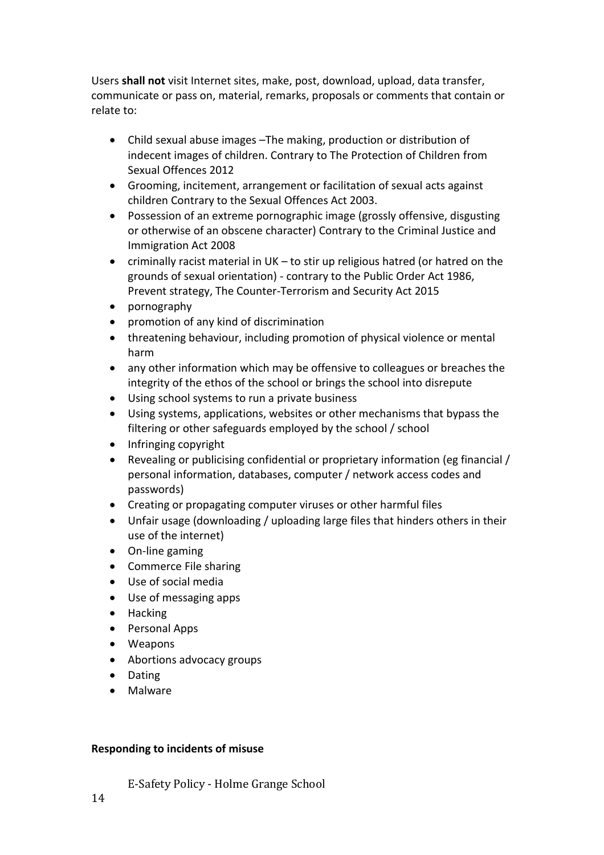Users **shall not** visit Internet sites, make, post, download, upload, data transfer, communicate or pass on, material, remarks, proposals or comments that contain or relate to:

- Child sexual abuse images –The making, production or distribution of indecent images of children. Contrary to The Protection of Children from Sexual Offences 2012
- Grooming, incitement, arrangement or facilitation of sexual acts against children Contrary to the Sexual Offences Act 2003.
- Possession of an extreme pornographic image (grossly offensive, disgusting or otherwise of an obscene character) Contrary to the Criminal Justice and Immigration Act 2008
- criminally racist material in UK to stir up religious hatred (or hatred on the grounds of sexual orientation) - contrary to the Public Order Act 1986, Prevent strategy, The Counter-Terrorism and Security Act 2015
- pornography
- promotion of any kind of discrimination
- threatening behaviour, including promotion of physical violence or mental harm
- any other information which may be offensive to colleagues or breaches the integrity of the ethos of the school or brings the school into disrepute
- Using school systems to run a private business
- Using systems, applications, websites or other mechanisms that bypass the filtering or other safeguards employed by the school / school
- Infringing copyright
- Revealing or publicising confidential or proprietary information (eg financial / personal information, databases, computer / network access codes and passwords)
- Creating or propagating computer viruses or other harmful files
- Unfair usage (downloading / uploading large files that hinders others in their use of the internet)
- On-line gaming
- Commerce File sharing
- Use of social media
- Use of messaging apps
- Hacking
- Personal Apps
- Weapons
- Abortions advocacy groups
- Dating
- Malware

## **Responding to incidents of misuse**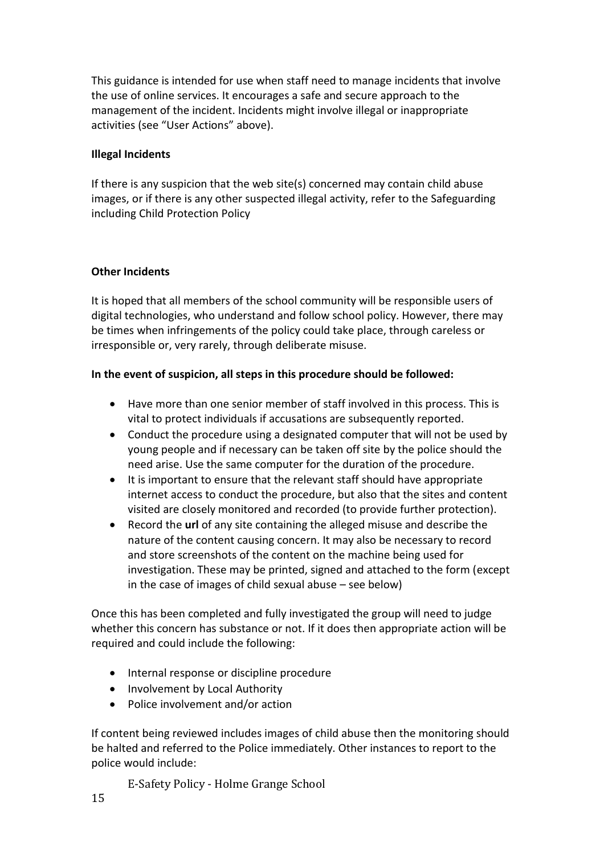This guidance is intended for use when staff need to manage incidents that involve the use of online services. It encourages a safe and secure approach to the management of the incident. Incidents might involve illegal or inappropriate activities (see "User Actions" above).

### **Illegal Incidents**

If there is any suspicion that the web site(s) concerned may contain child abuse images, or if there is any other suspected illegal activity, refer to the Safeguarding including Child Protection Policy

#### **Other Incidents**

It is hoped that all members of the school community will be responsible users of digital technologies, who understand and follow school policy. However, there may be times when infringements of the policy could take place, through careless or irresponsible or, very rarely, through deliberate misuse.

### **In the event of suspicion, all steps in this procedure should be followed:**

- Have more than one senior member of staff involved in this process. This is vital to protect individuals if accusations are subsequently reported.
- Conduct the procedure using a designated computer that will not be used by young people and if necessary can be taken off site by the police should the need arise. Use the same computer for the duration of the procedure.
- It is important to ensure that the relevant staff should have appropriate internet access to conduct the procedure, but also that the sites and content visited are closely monitored and recorded (to provide further protection).
- Record the **url** of any site containing the alleged misuse and describe the nature of the content causing concern. It may also be necessary to record and store screenshots of the content on the machine being used for investigation. These may be printed, signed and attached to the form (except in the case of images of child sexual abuse – see below)

Once this has been completed and fully investigated the group will need to judge whether this concern has substance or not. If it does then appropriate action will be required and could include the following:

- Internal response or discipline procedure
- Involvement by Local Authority
- Police involvement and/or action

If content being reviewed includes images of child abuse then the monitoring should be halted and referred to the Police immediately. Other instances to report to the police would include: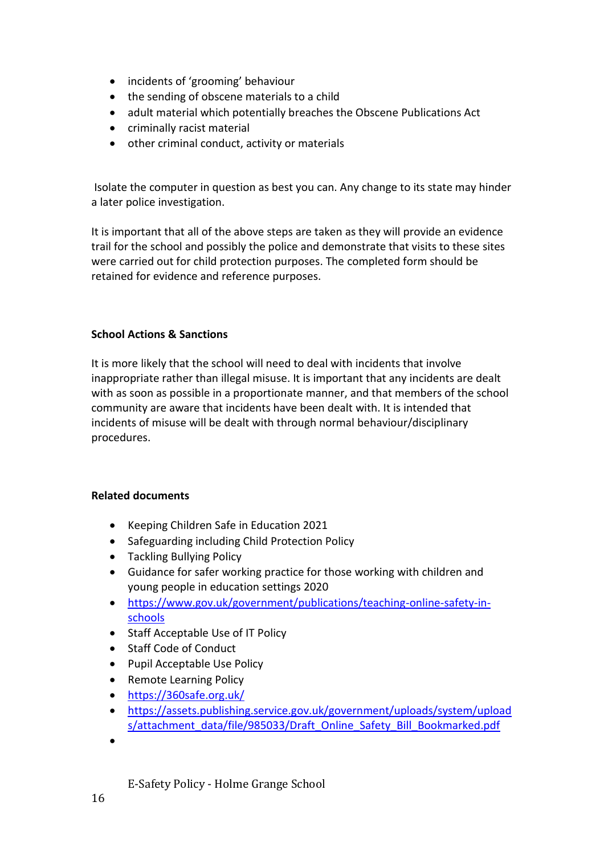- incidents of 'grooming' behaviour
- the sending of obscene materials to a child
- adult material which potentially breaches the Obscene Publications Act
- criminally racist material
- other criminal conduct, activity or materials

Isolate the computer in question as best you can. Any change to its state may hinder a later police investigation.

It is important that all of the above steps are taken as they will provide an evidence trail for the school and possibly the police and demonstrate that visits to these sites were carried out for child protection purposes. The completed form should be retained for evidence and reference purposes.

### **School Actions & Sanctions**

It is more likely that the school will need to deal with incidents that involve inappropriate rather than illegal misuse. It is important that any incidents are dealt with as soon as possible in a proportionate manner, and that members of the school community are aware that incidents have been dealt with. It is intended that incidents of misuse will be dealt with through normal behaviour/disciplinary procedures.

#### **Related documents**

- Keeping Children Safe in Education 2021
- Safeguarding including Child Protection Policy
- Tackling Bullying Policy
- Guidance for safer working practice for those working with children and young people in education settings 2020
- [https://www.gov.uk/government/publications/teaching-online-safety-in](https://www.gov.uk/government/publications/teaching-online-safety-in-schools)[schools](https://www.gov.uk/government/publications/teaching-online-safety-in-schools)
- Staff Acceptable Use of IT Policy
- Staff Code of Conduct
- Pupil Acceptable Use Policy
- Remote Learning Policy
- <https://360safe.org.uk/>
- [https://assets.publishing.service.gov.uk/government/uploads/system/upload](https://assets.publishing.service.gov.uk/government/uploads/system/uploads/attachment_data/file/985033/Draft_Online_Safety_Bill_Bookmarked.pdf) [s/attachment\\_data/file/985033/Draft\\_Online\\_Safety\\_Bill\\_Bookmarked.pdf](https://assets.publishing.service.gov.uk/government/uploads/system/uploads/attachment_data/file/985033/Draft_Online_Safety_Bill_Bookmarked.pdf)
- •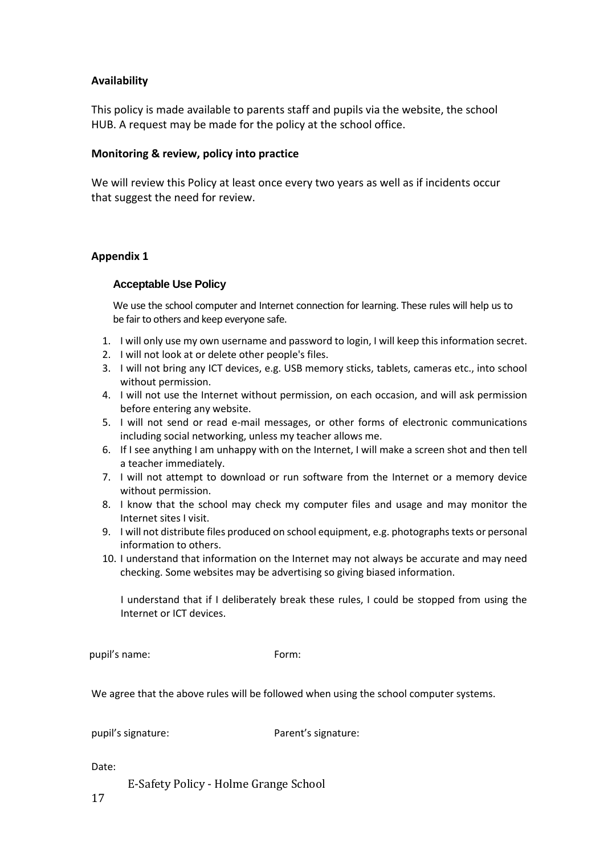#### **Availability**

This policy is made available to parents staff and pupils via the website, the school HUB. A request may be made for the policy at the school office.

#### **Monitoring & review, policy into practice**

We will review this Policy at least once every two years as well as if incidents occur that suggest the need for review.

#### **Appendix 1**

#### **Acceptable Use Policy**

We use the school computer and Internet connection for learning. These rules will help us to be fair to others and keep everyone safe.

- 1. I will only use my own username and password to login, I will keep this information secret.
- 2. I will not look at or delete other people's files.
- 3. I will not bring any ICT devices, e.g. USB memory sticks, tablets, cameras etc., into school without permission.
- 4. I will not use the Internet without permission, on each occasion, and will ask permission before entering any website.
- 5. I will not send or read e-mail messages, or other forms of electronic communications including social networking, unless my teacher allows me.
- 6. If I see anything I am unhappy with on the Internet, I will make a screen shot and then tell a teacher immediately.
- 7. I will not attempt to download or run software from the Internet or a memory device without permission.
- 8. I know that the school may check my computer files and usage and may monitor the Internet sites I visit.
- 9. I will not distribute files produced on school equipment, e.g. photographs texts or personal information to others.
- 10. I understand that information on the Internet may not always be accurate and may need checking. Some websites may be advertising so giving biased information.

I understand that if I deliberately break these rules, I could be stopped from using the Internet or ICT devices.

pupil's name: Form:

We agree that the above rules will be followed when using the school computer systems.

pupil's signature: Parent's signature:

Date: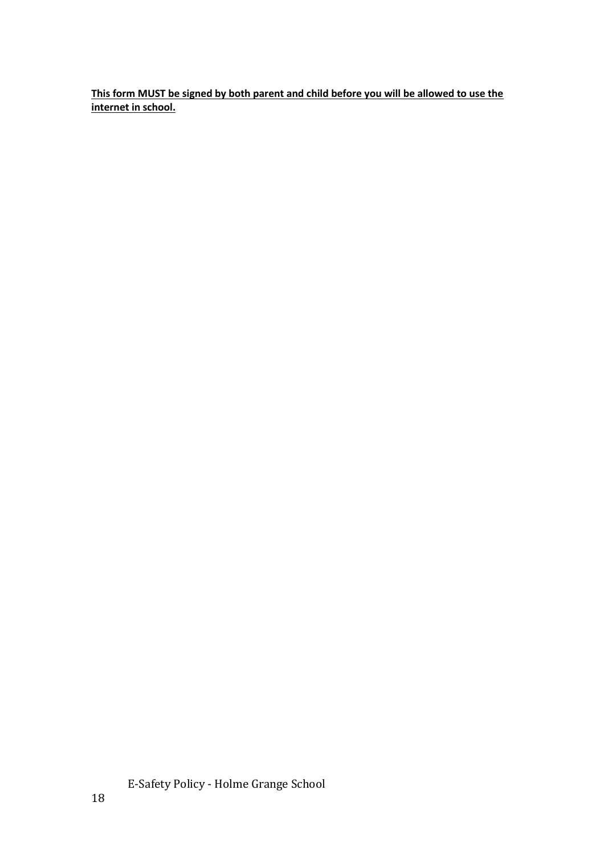**This form MUST be signed by both parent and child before you will be allowed to use the internet in school.**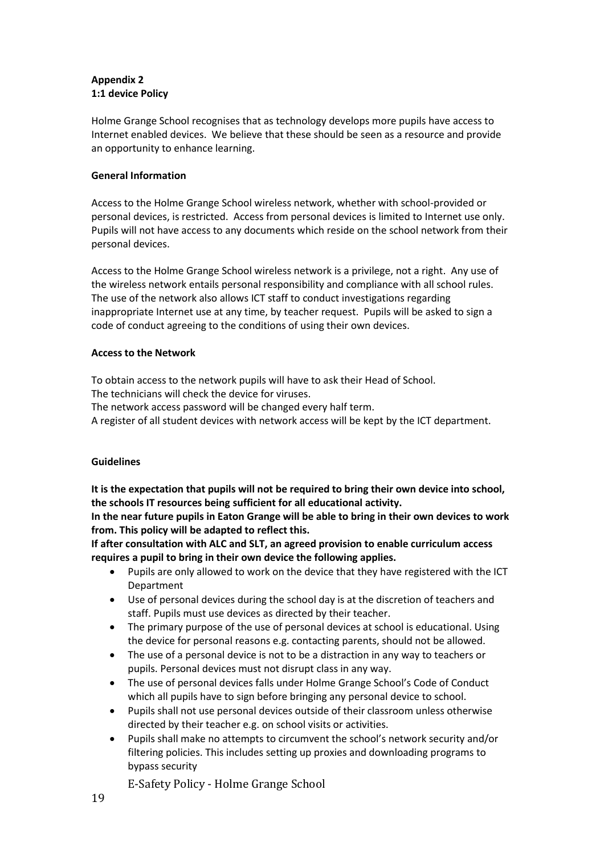#### **Appendix 2 1:1 device Policy**

Holme Grange School recognises that as technology develops more pupils have access to Internet enabled devices. We believe that these should be seen as a resource and provide an opportunity to enhance learning.

#### **General Information**

Access to the Holme Grange School wireless network, whether with school-provided or personal devices, is restricted. Access from personal devices is limited to Internet use only. Pupils will not have access to any documents which reside on the school network from their personal devices.

Access to the Holme Grange School wireless network is a privilege, not a right. Any use of the wireless network entails personal responsibility and compliance with all school rules. The use of the network also allows ICT staff to conduct investigations regarding inappropriate Internet use at any time, by teacher request. Pupils will be asked to sign a code of conduct agreeing to the conditions of using their own devices.

#### **Access to the Network**

To obtain access to the network pupils will have to ask their Head of School.

The technicians will check the device for viruses.

The network access password will be changed every half term.

A register of all student devices with network access will be kept by the ICT department.

#### **Guidelines**

**It is the expectation that pupils will not be required to bring their own device into school, the schools IT resources being sufficient for all educational activity.**

**In the near future pupils in Eaton Grange will be able to bring in their own devices to work from. This policy will be adapted to reflect this.**

**If after consultation with ALC and SLT, an agreed provision to enable curriculum access requires a pupil to bring in their own device the following applies.**

- Pupils are only allowed to work on the device that they have registered with the ICT Department
- Use of personal devices during the school day is at the discretion of teachers and staff. Pupils must use devices as directed by their teacher.
- The primary purpose of the use of personal devices at school is educational. Using the device for personal reasons e.g. contacting parents, should not be allowed.
- The use of a personal device is not to be a distraction in any way to teachers or pupils. Personal devices must not disrupt class in any way.
- The use of personal devices falls under Holme Grange School's Code of Conduct which all pupils have to sign before bringing any personal device to school.
- Pupils shall not use personal devices outside of their classroom unless otherwise directed by their teacher e.g. on school visits or activities.
- Pupils shall make no attempts to circumvent the school's network security and/or filtering policies. This includes setting up proxies and downloading programs to bypass security